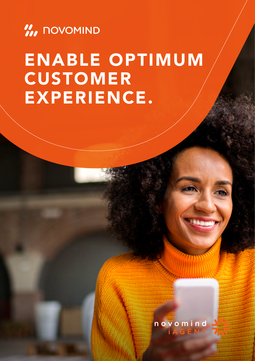

# ENABLE OPTIMUM CUSTOMER EXPERIENCE.



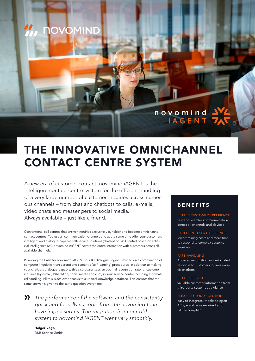

# THE INNOVATIVE OMNICHANNEL CONTACT CENTRE SYSTEM

A new era of customer contact: novomind iAGENT is the intelligent contact centre system for the efficient handling of a very large number of customer inquiries across numerous channels – from chat and chatbots to calls, e-mails, video chats and messengers to social media. Always available – just like a friend.

Conventional call centres that answer inquiries exclusively by telephone become omnichannel contact centres. You use all communication channels and at the same time offer your customers intelligent and dialogue-capable self-service solutions (chatbot or FAQ centre) based on artificial intelligence (AI). novomind iAGENT covers the entire interaction with customers across all available channels.

Providing the basis for novomind iAGENT, our IQ Dialogue Engine is based on a combination of computer linguistic (transparent) and semantic (self-learning) procedures. In addition to making your chatbots dialogue-capable, this also guarantees an optimal recognition rate for customer inquiries (by e-mail, WhatsApp, social media and chat) in your service centre including automated handling. All this is achieved thanks to a unified knowledge database. This ensures that the same answer is given to the same question every time.

*The performance of the software and the consistently*  » *quick and friendly support from the novomind team have impressed us. The migration from our old system to novomind iAGENT went very smoothly.*

Holger Vogt, DKB Service GmbH

# BENEFITS

BETTER CUSTOMER EXPERIENCE fast and seamless communication across all channels and devices

EXCELLENT USER EXPERIENCE lower training costs and more time to respond to complex customer inquiries

#### FAST HANDLING

AI-based recognition and automated response to customer inquiries – also via chatbots

#### BETTER SERVICE

valuable customer information from third-party systems at a glance

#### FLEXIBLE CLOUD SOLUTION

easy to integrate, thanks to open APIs, scalable as required and GDPR-compliant